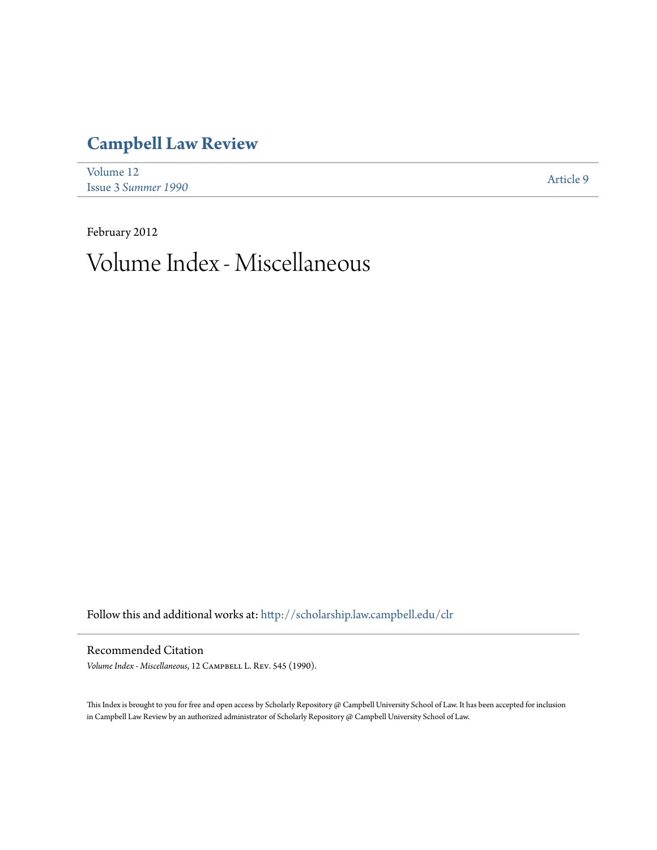## **[Campbell Law Review](http://scholarship.law.campbell.edu/clr?utm_source=scholarship.law.campbell.edu%2Fclr%2Fvol12%2Fiss3%2F9&utm_medium=PDF&utm_campaign=PDFCoverPages)**

| Volume 12                  | Article 9 |
|----------------------------|-----------|
| <b>Issue 3 Summer 1990</b> |           |

February 2012 Volume Index - Miscellaneous

Follow this and additional works at: [http://scholarship.law.campbell.edu/clr](http://scholarship.law.campbell.edu/clr?utm_source=scholarship.law.campbell.edu%2Fclr%2Fvol12%2Fiss3%2F9&utm_medium=PDF&utm_campaign=PDFCoverPages)

## Recommended Citation

*Volume Index - Miscellaneous*, 12 Campbell L. Rev. 545 (1990).

This Index is brought to you for free and open access by Scholarly Repository @ Campbell University School of Law. It has been accepted for inclusion in Campbell Law Review by an authorized administrator of Scholarly Repository @ Campbell University School of Law.